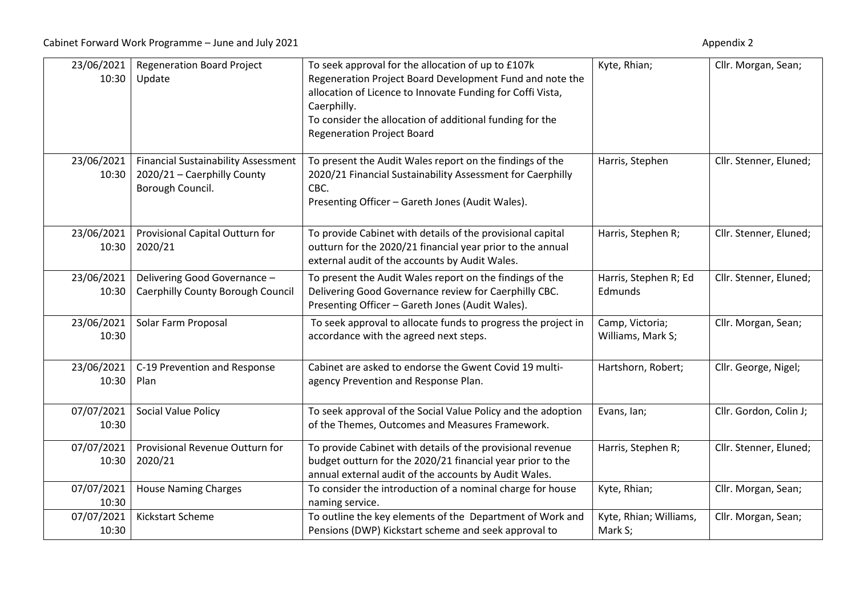| 23/06/2021<br>10:30 | <b>Regeneration Board Project</b><br>Update                                                   | To seek approval for the allocation of up to £107k<br>Regeneration Project Board Development Fund and note the<br>allocation of Licence to Innovate Funding for Coffi Vista,<br>Caerphilly.<br>To consider the allocation of additional funding for the<br><b>Regeneration Project Board</b> | Kyte, Rhian;                         | Cllr. Morgan, Sean;    |
|---------------------|-----------------------------------------------------------------------------------------------|----------------------------------------------------------------------------------------------------------------------------------------------------------------------------------------------------------------------------------------------------------------------------------------------|--------------------------------------|------------------------|
| 23/06/2021<br>10:30 | <b>Financial Sustainability Assessment</b><br>2020/21 - Caerphilly County<br>Borough Council. | To present the Audit Wales report on the findings of the<br>2020/21 Financial Sustainability Assessment for Caerphilly<br>CBC.<br>Presenting Officer - Gareth Jones (Audit Wales).                                                                                                           | Harris, Stephen                      | Cllr. Stenner, Eluned; |
| 23/06/2021<br>10:30 | Provisional Capital Outturn for<br>2020/21                                                    | To provide Cabinet with details of the provisional capital<br>outturn for the 2020/21 financial year prior to the annual<br>external audit of the accounts by Audit Wales.                                                                                                                   | Harris, Stephen R;                   | Cllr. Stenner, Eluned; |
| 23/06/2021<br>10:30 | Delivering Good Governance -<br>Caerphilly County Borough Council                             | To present the Audit Wales report on the findings of the<br>Delivering Good Governance review for Caerphilly CBC.<br>Presenting Officer - Gareth Jones (Audit Wales).                                                                                                                        | Harris, Stephen R; Ed<br>Edmunds     | Cllr. Stenner, Eluned; |
| 23/06/2021<br>10:30 | Solar Farm Proposal                                                                           | To seek approval to allocate funds to progress the project in<br>accordance with the agreed next steps.                                                                                                                                                                                      | Camp, Victoria;<br>Williams, Mark S; | Cllr. Morgan, Sean;    |
| 23/06/2021<br>10:30 | C-19 Prevention and Response<br>Plan                                                          | Cabinet are asked to endorse the Gwent Covid 19 multi-<br>agency Prevention and Response Plan.                                                                                                                                                                                               | Hartshorn, Robert;                   | Cllr. George, Nigel;   |
| 07/07/2021<br>10:30 | Social Value Policy                                                                           | To seek approval of the Social Value Policy and the adoption<br>of the Themes, Outcomes and Measures Framework.                                                                                                                                                                              | Evans, Ian;                          | Cllr. Gordon, Colin J; |
| 07/07/2021<br>10:30 | Provisional Revenue Outturn for<br>2020/21                                                    | To provide Cabinet with details of the provisional revenue<br>budget outturn for the 2020/21 financial year prior to the<br>annual external audit of the accounts by Audit Wales.                                                                                                            | Harris, Stephen R;                   | Cllr. Stenner, Eluned; |
| 07/07/2021<br>10:30 | <b>House Naming Charges</b>                                                                   | To consider the introduction of a nominal charge for house<br>naming service.                                                                                                                                                                                                                | Kyte, Rhian;                         | Cllr. Morgan, Sean;    |
| 07/07/2021<br>10:30 | Kickstart Scheme                                                                              | To outline the key elements of the Department of Work and<br>Pensions (DWP) Kickstart scheme and seek approval to                                                                                                                                                                            | Kyte, Rhian; Williams,<br>Mark S;    | Cllr. Morgan, Sean;    |